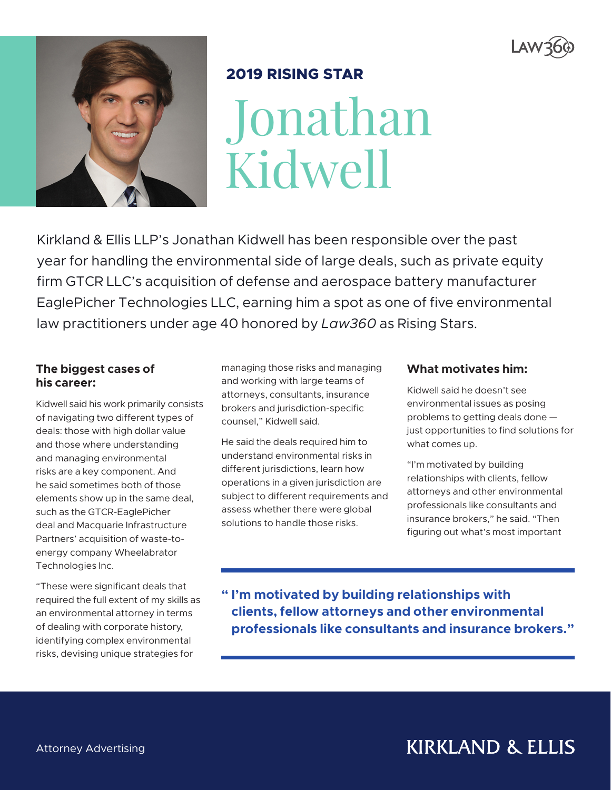



# **2019 RISING STAR**

Jonathan Kidwell

Kirkland & Ellis LLP's Jonathan Kidwell has been responsible over the past year for handling the environmental side of large deals, such as private equity firm GTCR LLC's acquisition of defense and aerospace battery manufacturer EaglePicher Technologies LLC, earning him a spot as one of five environmental law practitioners under age 40 honored by *Law360* as Rising Stars.

#### **The biggest cases of his career:**

Kidwell said his work primarily consists of navigating two different types of deals: those with high dollar value and those where understanding and managing environmental risks are a key component. And he said sometimes both of those elements show up in the same deal, such as the GTCR-EaglePicher deal and Macquarie Infrastructure Partners' acquisition of waste-toenergy company Wheelabrator Technologies Inc.

"These were significant deals that required the full extent of my skills as an environmental attorney in terms of dealing with corporate history, identifying complex environmental risks, devising unique strategies for

managing those risks and managing and working with large teams of attorneys, consultants, insurance brokers and jurisdiction-specific counsel," Kidwell said.

He said the deals required him to understand environmental risks in different jurisdictions, learn how operations in a given jurisdiction are subject to different requirements and assess whether there were global solutions to handle those risks.

## **What motivates him:**

Kidwell said he doesn't see environmental issues as posing problems to getting deals done just opportunities to find solutions for what comes up.

"I'm motivated by building relationships with clients, fellow attorneys and other environmental professionals like consultants and insurance brokers," he said. "Then figuring out what's most important

**" I'm motivated by building relationships with clients, fellow attorneys and other environmental professionals like consultants and insurance brokers."**